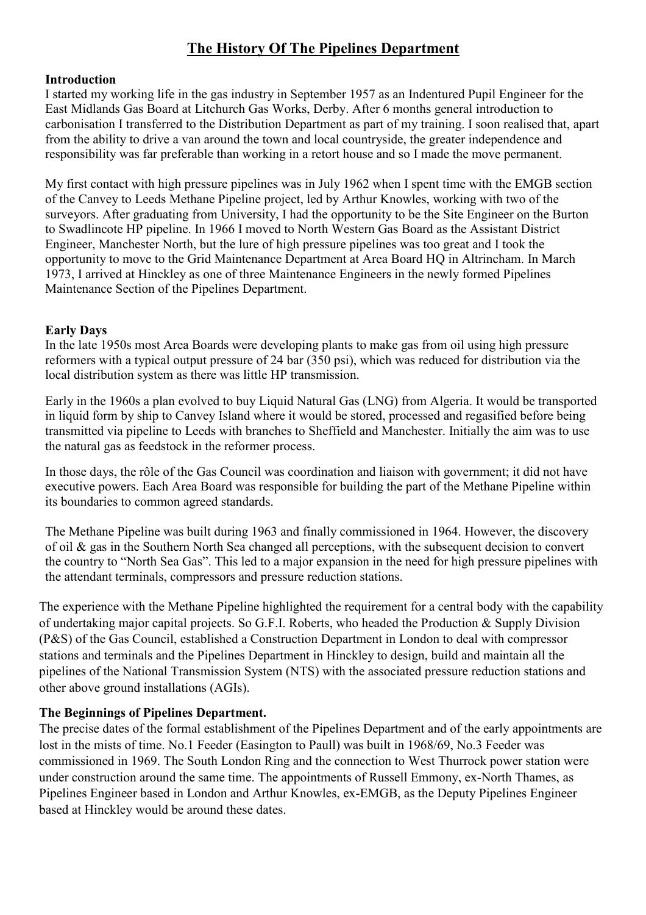# **The History Of The Pipelines Department**

### **Introduction**

I started my working life in the gas industry in September 1957 as an Indentured Pupil Engineer for the East Midlands Gas Board at Litchurch Gas Works, Derby. After 6 months general introduction to carbonisation I transferred to the Distribution Department as part of my training. I soon realised that, apart from the ability to drive a van around the town and local countryside, the greater independence and responsibility was far preferable than working in a retort house and so I made the move permanent.

My first contact with high pressure pipelines was in July 1962 when I spent time with the EMGB section of the Canvey to Leeds Methane Pipeline project, led by Arthur Knowles, working with two of the surveyors. After graduating from University, I had the opportunity to be the Site Engineer on the Burton to Swadlincote HP pipeline. In 1966 I moved to North Western Gas Board as the Assistant District Engineer, Manchester North, but the lure of high pressure pipelines was too great and I took the opportunity to move to the Grid Maintenance Department at Area Board HQ in Altrincham. In March 1973, I arrived at Hinckley as one of three Maintenance Engineers in the newly formed Pipelines Maintenance Section of the Pipelines Department.

#### **Early Days**

In the late 1950s most Area Boards were developing plants to make gas from oil using high pressure reformers with a typical output pressure of 24 bar (350 psi), which was reduced for distribution via the local distribution system as there was little HP transmission.

Early in the 1960s a plan evolved to buy Liquid Natural Gas (LNG) from Algeria. It would be transported in liquid form by ship to Canvey Island where it would be stored, processed and regasified before being transmitted via pipeline to Leeds with branches to Sheffield and Manchester. Initially the aim was to use the natural gas as feedstock in the reformer process.

In those days, the rôle of the Gas Council was coordination and liaison with government; it did not have executive powers. Each Area Board was responsible for building the part of the Methane Pipeline within its boundaries to common agreed standards.

The Methane Pipeline was built during 1963 and finally commissioned in 1964. However, the discovery of oil & gas in the Southern North Sea changed all perceptions, with the subsequent decision to convert the country to "North Sea Gas". This led to a major expansion in the need for high pressure pipelines with the attendant terminals, compressors and pressure reduction stations.

The experience with the Methane Pipeline highlighted the requirement for a central body with the capability of undertaking major capital projects. So G.F.I. Roberts, who headed the Production & Supply Division (P&S) of the Gas Council, established a Construction Department in London to deal with compressor stations and terminals and the Pipelines Department in Hinckley to design, build and maintain all the pipelines of the National Transmission System (NTS) with the associated pressure reduction stations and other above ground installations (AGIs).

### **The Beginnings of Pipelines Department.**

The precise dates of the formal establishment of the Pipelines Department and of the early appointments are lost in the mists of time. No.1 Feeder (Easington to Paull) was built in 1968/69, No.3 Feeder was commissioned in 1969. The South London Ring and the connection to West Thurrock power station were under construction around the same time. The appointments of Russell Emmony, ex-North Thames, as Pipelines Engineer based in London and Arthur Knowles, ex-EMGB, as the Deputy Pipelines Engineer based at Hinckley would be around these dates.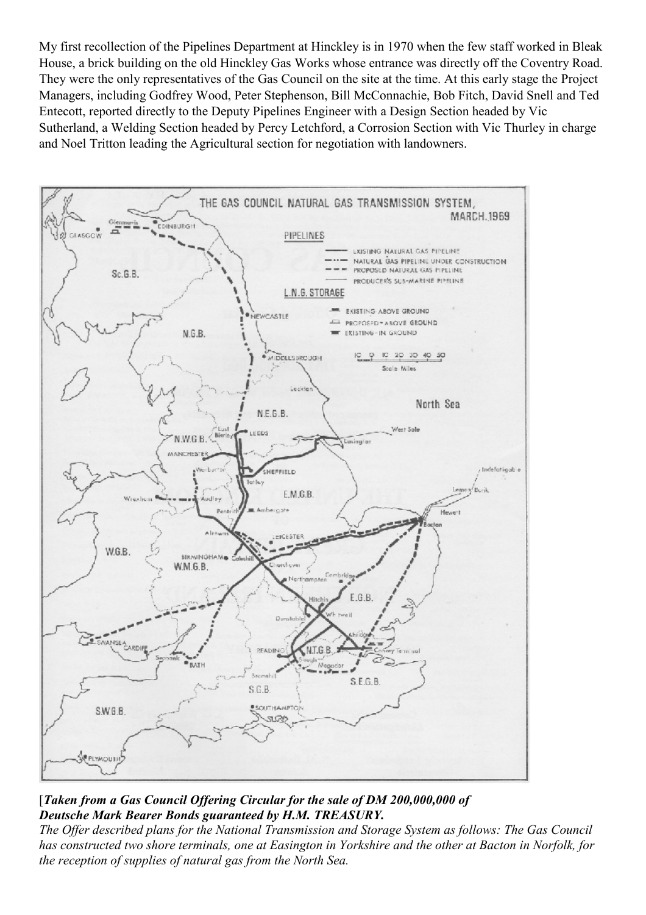My first recollection of the Pipelines Department at Hinckley is in 1970 when the few staff worked in Bleak House, a brick building on the old Hinckley Gas Works whose entrance was directly off the Coventry Road. They were the only representatives of the Gas Council on the site at the time. At this early stage the Project Managers, including Godfrey Wood, Peter Stephenson, Bill McConnachie, Bob Fitch, David Snell and Ted Entecott, reported directly to the Deputy Pipelines Engineer with a Design Section headed by Vic Sutherland, a Welding Section headed by Percy Letchford, a Corrosion Section with Vic Thurley in charge and Noel Tritton leading the Agricultural section for negotiation with landowners.



# [*Taken from a Gas Council Offering Circular for the sale of DM 200,000,000 of Deutsche Mark Bearer Bonds guaranteed by H.M. TREASURY.*

*The Offer described plans for the National Transmission and Storage System as follows: The Gas Council has constructed two shore terminals, one at Easington in Yorkshire and the other at Bacton in Norfolk, for the reception of supplies of natural gas from the North Sea.*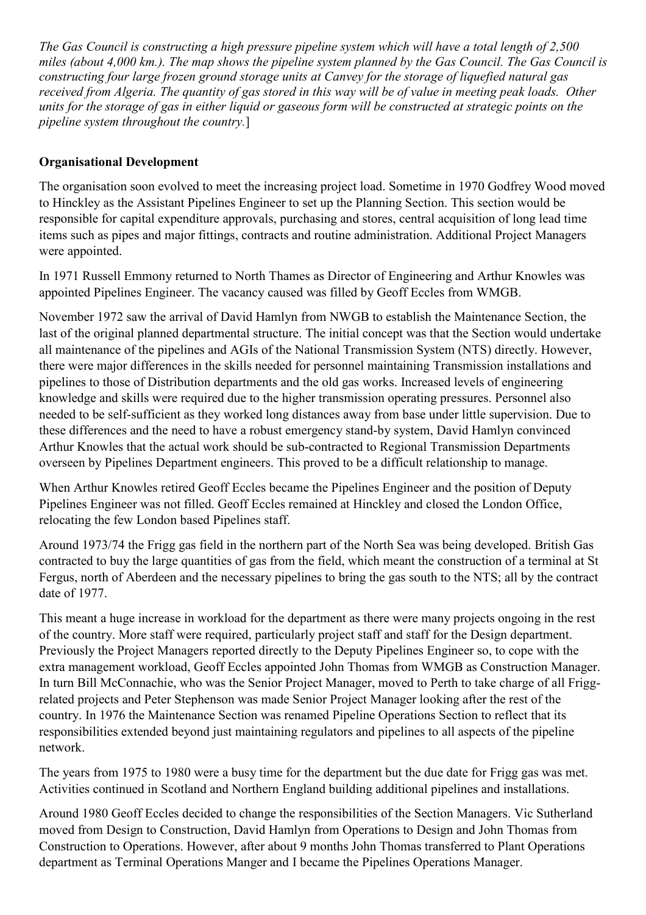*The Gas Council is constructing a high pressure pipeline system which will have a total length of 2,500 miles (about 4,000 km.). The map shows the pipeline system planned by the Gas Council. The Gas Council is constructing four large frozen ground storage units at Canvey for the storage of liquefied natural gas received from Algeria. The quantity of gas stored in this way will be of value in meeting peak loads. Other units for the storage of gas in either liquid or gaseous form will be constructed at strategic points on the pipeline system throughout the country.*]

# **Organisational Development**

The organisation soon evolved to meet the increasing project load. Sometime in 1970 Godfrey Wood moved to Hinckley as the Assistant Pipelines Engineer to set up the Planning Section. This section would be responsible for capital expenditure approvals, purchasing and stores, central acquisition of long lead time items such as pipes and major fittings, contracts and routine administration. Additional Project Managers were appointed.

In 1971 Russell Emmony returned to North Thames as Director of Engineering and Arthur Knowles was appointed Pipelines Engineer. The vacancy caused was filled by Geoff Eccles from WMGB.

November 1972 saw the arrival of David Hamlyn from NWGB to establish the Maintenance Section, the last of the original planned departmental structure. The initial concept was that the Section would undertake all maintenance of the pipelines and AGIs of the National Transmission System (NTS) directly. However, there were major differences in the skills needed for personnel maintaining Transmission installations and pipelines to those of Distribution departments and the old gas works. Increased levels of engineering knowledge and skills were required due to the higher transmission operating pressures. Personnel also needed to be self-sufficient as they worked long distances away from base under little supervision. Due to these differences and the need to have a robust emergency stand-by system, David Hamlyn convinced Arthur Knowles that the actual work should be sub-contracted to Regional Transmission Departments overseen by Pipelines Department engineers. This proved to be a difficult relationship to manage.

When Arthur Knowles retired Geoff Eccles became the Pipelines Engineer and the position of Deputy Pipelines Engineer was not filled. Geoff Eccles remained at Hinckley and closed the London Office, relocating the few London based Pipelines staff.

Around 1973/74 the Frigg gas field in the northern part of the North Sea was being developed. British Gas contracted to buy the large quantities of gas from the field, which meant the construction of a terminal at St Fergus, north of Aberdeen and the necessary pipelines to bring the gas south to the NTS; all by the contract date of 1977.

This meant a huge increase in workload for the department as there were many projects ongoing in the rest of the country. More staff were required, particularly project staff and staff for the Design department. Previously the Project Managers reported directly to the Deputy Pipelines Engineer so, to cope with the extra management workload, Geoff Eccles appointed John Thomas from WMGB as Construction Manager. In turn Bill McConnachie, who was the Senior Project Manager, moved to Perth to take charge of all Friggrelated projects and Peter Stephenson was made Senior Project Manager looking after the rest of the country. In 1976 the Maintenance Section was renamed Pipeline Operations Section to reflect that its responsibilities extended beyond just maintaining regulators and pipelines to all aspects of the pipeline network.

The years from 1975 to 1980 were a busy time for the department but the due date for Frigg gas was met. Activities continued in Scotland and Northern England building additional pipelines and installations.

Around 1980 Geoff Eccles decided to change the responsibilities of the Section Managers. Vic Sutherland moved from Design to Construction, David Hamlyn from Operations to Design and John Thomas from Construction to Operations. However, after about 9 months John Thomas transferred to Plant Operations department as Terminal Operations Manger and I became the Pipelines Operations Manager.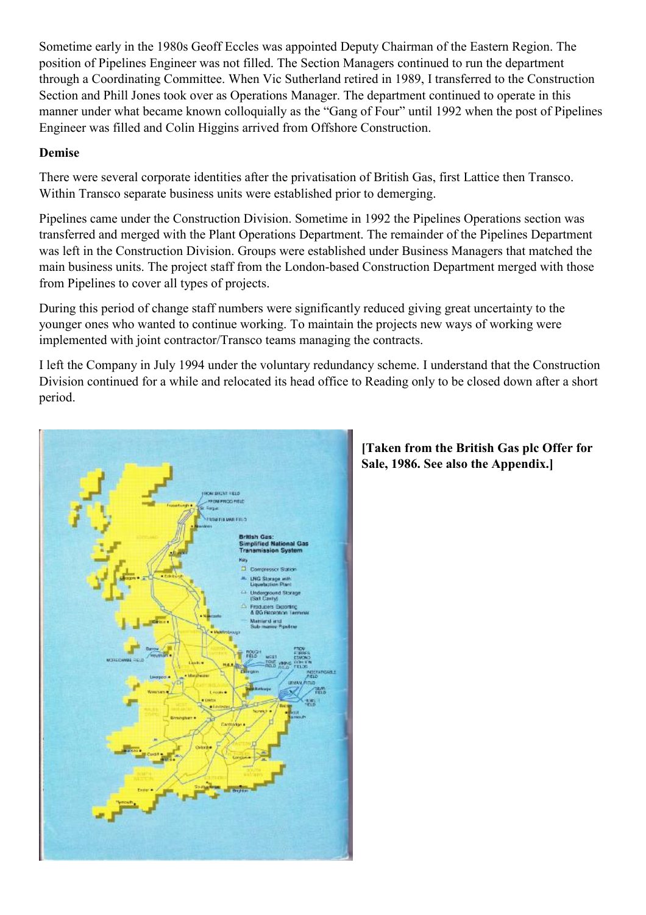Sometime early in the 1980s Geoff Eccles was appointed Deputy Chairman of the Eastern Region. The position of Pipelines Engineer was not filled. The Section Managers continued to run the department through a Coordinating Committee. When Vic Sutherland retired in 1989, I transferred to the Construction Section and Phill Jones took over as Operations Manager. The department continued to operate in this manner under what became known colloquially as the "Gang of Four" until 1992 when the post of Pipelines Engineer was filled and Colin Higgins arrived from Offshore Construction.

# **Demise**

There were several corporate identities after the privatisation of British Gas, first Lattice then Transco. Within Transco separate business units were established prior to demerging.

Pipelines came under the Construction Division. Sometime in 1992 the Pipelines Operations section was transferred and merged with the Plant Operations Department. The remainder of the Pipelines Department was left in the Construction Division. Groups were established under Business Managers that matched the main business units. The project staff from the London-based Construction Department merged with those from Pipelines to cover all types of projects.

During this period of change staff numbers were significantly reduced giving great uncertainty to the younger ones who wanted to continue working. To maintain the projects new ways of working were implemented with joint contractor/Transco teams managing the contracts.

I left the Company in July 1994 under the voluntary redundancy scheme. I understand that the Construction Division continued for a while and relocated its head office to Reading only to be closed down after a short period.



# **[Taken from the British Gas plc Offer for Sale, 1986. See also the Appendix.]**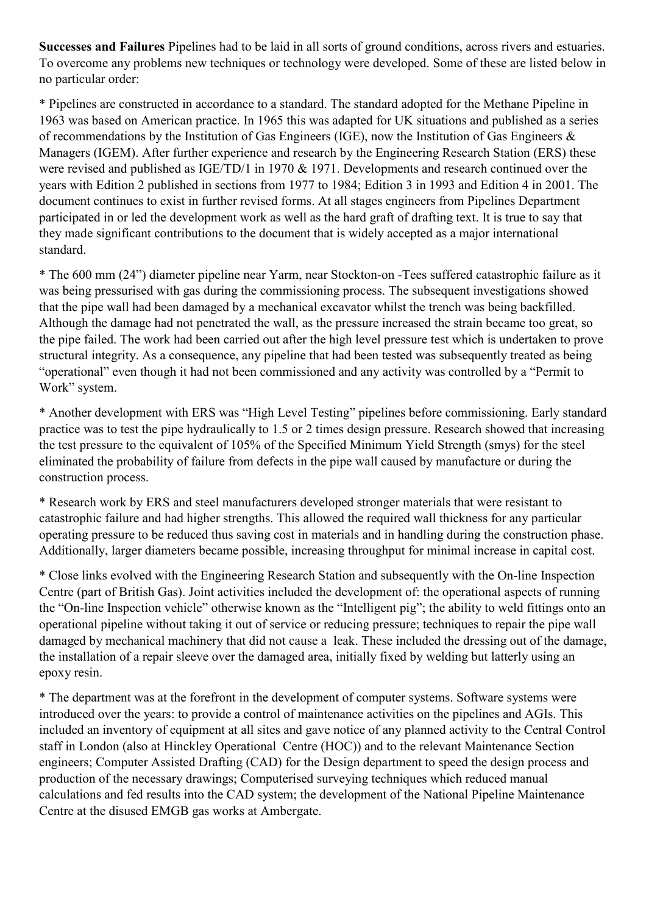**Successes and Failures** Pipelines had to be laid in all sorts of ground conditions, across rivers and estuaries. To overcome any problems new techniques or technology were developed. Some of these are listed below in no particular order:

\* Pipelines are constructed in accordance to a standard. The standard adopted for the Methane Pipeline in 1963 was based on American practice. In 1965 this was adapted for UK situations and published as a series of recommendations by the Institution of Gas Engineers (IGE), now the Institution of Gas Engineers & Managers (IGEM). After further experience and research by the Engineering Research Station (ERS) these were revised and published as IGE/TD/1 in 1970 & 1971. Developments and research continued over the years with Edition 2 published in sections from 1977 to 1984; Edition 3 in 1993 and Edition 4 in 2001. The document continues to exist in further revised forms. At all stages engineers from Pipelines Department participated in or led the development work as well as the hard graft of drafting text. It is true to say that they made significant contributions to the document that is widely accepted as a major international standard.

\* The 600 mm (24") diameter pipeline near Yarm, near Stockton-on -Tees suffered catastrophic failure as it was being pressurised with gas during the commissioning process. The subsequent investigations showed that the pipe wall had been damaged by a mechanical excavator whilst the trench was being backfilled. Although the damage had not penetrated the wall, as the pressure increased the strain became too great, so the pipe failed. The work had been carried out after the high level pressure test which is undertaken to prove structural integrity. As a consequence, any pipeline that had been tested was subsequently treated as being "operational" even though it had not been commissioned and any activity was controlled by a "Permit to Work" system.

\* Another development with ERS was "High Level Testing" pipelines before commissioning. Early standard practice was to test the pipe hydraulically to 1.5 or 2 times design pressure. Research showed that increasing the test pressure to the equivalent of 105% of the Specified Minimum Yield Strength (smys) for the steel eliminated the probability of failure from defects in the pipe wall caused by manufacture or during the construction process.

\* Research work by ERS and steel manufacturers developed stronger materials that were resistant to catastrophic failure and had higher strengths. This allowed the required wall thickness for any particular operating pressure to be reduced thus saving cost in materials and in handling during the construction phase. Additionally, larger diameters became possible, increasing throughput for minimal increase in capital cost.

\* Close links evolved with the Engineering Research Station and subsequently with the On-line Inspection Centre (part of British Gas). Joint activities included the development of: the operational aspects of running the "On-line Inspection vehicle" otherwise known as the "Intelligent pig"; the ability to weld fittings onto an operational pipeline without taking it out of service or reducing pressure; techniques to repair the pipe wall damaged by mechanical machinery that did not cause a leak. These included the dressing out of the damage, the installation of a repair sleeve over the damaged area, initially fixed by welding but latterly using an epoxy resin.

\* The department was at the forefront in the development of computer systems. Software systems were introduced over the years: to provide a control of maintenance activities on the pipelines and AGIs. This included an inventory of equipment at all sites and gave notice of any planned activity to the Central Control staff in London (also at Hinckley Operational Centre (HOC)) and to the relevant Maintenance Section engineers; Computer Assisted Drafting (CAD) for the Design department to speed the design process and production of the necessary drawings; Computerised surveying techniques which reduced manual calculations and fed results into the CAD system; the development of the National Pipeline Maintenance Centre at the disused EMGB gas works at Ambergate.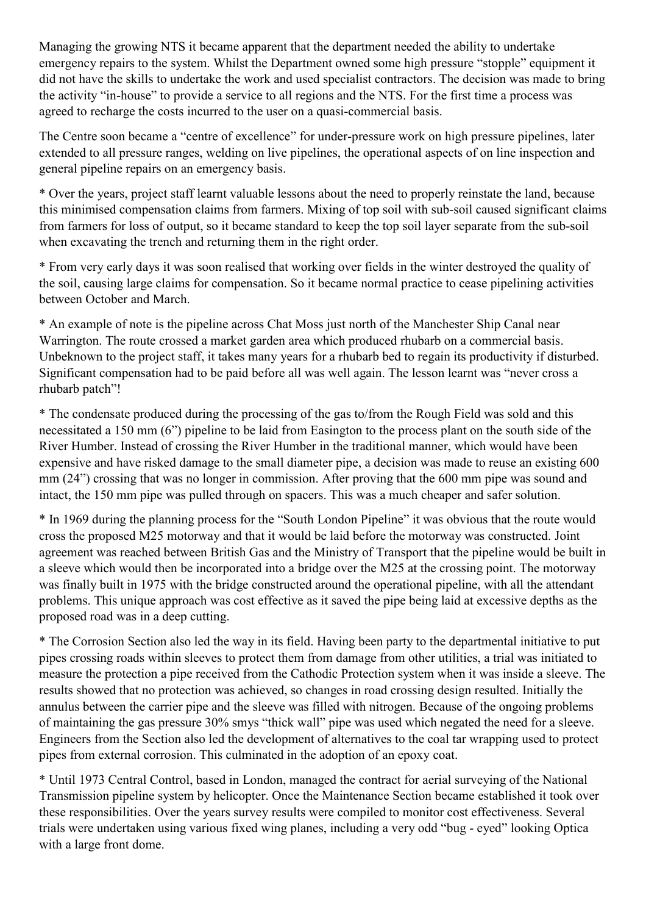Managing the growing NTS it became apparent that the department needed the ability to undertake emergency repairs to the system. Whilst the Department owned some high pressure "stopple" equipment it did not have the skills to undertake the work and used specialist contractors. The decision was made to bring the activity "in-house" to provide a service to all regions and the NTS. For the first time a process was agreed to recharge the costs incurred to the user on a quasi-commercial basis.

The Centre soon became a "centre of excellence" for under-pressure work on high pressure pipelines, later extended to all pressure ranges, welding on live pipelines, the operational aspects of on line inspection and general pipeline repairs on an emergency basis.

\* Over the years, project staff learnt valuable lessons about the need to properly reinstate the land, because this minimised compensation claims from farmers. Mixing of top soil with sub-soil caused significant claims from farmers for loss of output, so it became standard to keep the top soil layer separate from the sub-soil when excavating the trench and returning them in the right order.

\* From very early days it was soon realised that working over fields in the winter destroyed the quality of the soil, causing large claims for compensation. So it became normal practice to cease pipelining activities between October and March.

\* An example of note is the pipeline across Chat Moss just north of the Manchester Ship Canal near Warrington. The route crossed a market garden area which produced rhubarb on a commercial basis. Unbeknown to the project staff, it takes many years for a rhubarb bed to regain its productivity if disturbed. Significant compensation had to be paid before all was well again. The lesson learnt was "never cross a rhubarb patch"!

\* The condensate produced during the processing of the gas to/from the Rough Field was sold and this necessitated a 150 mm (6") pipeline to be laid from Easington to the process plant on the south side of the River Humber. Instead of crossing the River Humber in the traditional manner, which would have been expensive and have risked damage to the small diameter pipe, a decision was made to reuse an existing 600 mm (24") crossing that was no longer in commission. After proving that the 600 mm pipe was sound and intact, the 150 mm pipe was pulled through on spacers. This was a much cheaper and safer solution.

\* In 1969 during the planning process for the "South London Pipeline" it was obvious that the route would cross the proposed M25 motorway and that it would be laid before the motorway was constructed. Joint agreement was reached between British Gas and the Ministry of Transport that the pipeline would be built in a sleeve which would then be incorporated into a bridge over the M25 at the crossing point. The motorway was finally built in 1975 with the bridge constructed around the operational pipeline, with all the attendant problems. This unique approach was cost effective as it saved the pipe being laid at excessive depths as the proposed road was in a deep cutting.

\* The Corrosion Section also led the way in its field. Having been party to the departmental initiative to put pipes crossing roads within sleeves to protect them from damage from other utilities, a trial was initiated to measure the protection a pipe received from the Cathodic Protection system when it was inside a sleeve. The results showed that no protection was achieved, so changes in road crossing design resulted. Initially the annulus between the carrier pipe and the sleeve was filled with nitrogen. Because of the ongoing problems of maintaining the gas pressure 30% smys "thick wall" pipe was used which negated the need for a sleeve. Engineers from the Section also led the development of alternatives to the coal tar wrapping used to protect pipes from external corrosion. This culminated in the adoption of an epoxy coat.

\* Until 1973 Central Control, based in London, managed the contract for aerial surveying of the National Transmission pipeline system by helicopter. Once the Maintenance Section became established it took over these responsibilities. Over the years survey results were compiled to monitor cost effectiveness. Several trials were undertaken using various fixed wing planes, including a very odd "bug - eyed" looking Optica with a large front dome.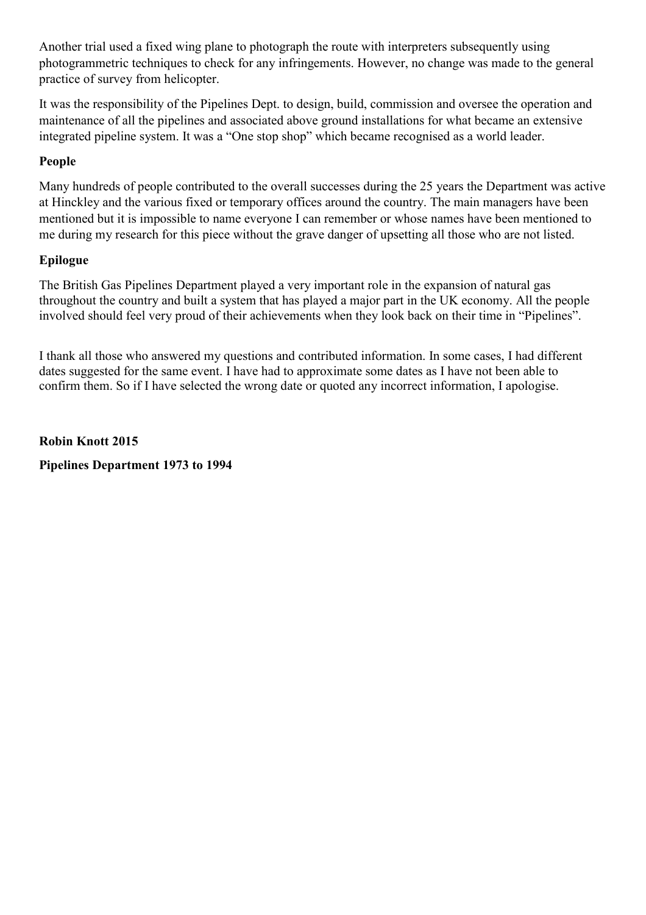Another trial used a fixed wing plane to photograph the route with interpreters subsequently using photogrammetric techniques to check for any infringements. However, no change was made to the general practice of survey from helicopter.

It was the responsibility of the Pipelines Dept. to design, build, commission and oversee the operation and maintenance of all the pipelines and associated above ground installations for what became an extensive integrated pipeline system. It was a "One stop shop" which became recognised as a world leader.

## **People**

Many hundreds of people contributed to the overall successes during the 25 years the Department was active at Hinckley and the various fixed or temporary offices around the country. The main managers have been mentioned but it is impossible to name everyone I can remember or whose names have been mentioned to me during my research for this piece without the grave danger of upsetting all those who are not listed.

## **Epilogue**

The British Gas Pipelines Department played a very important role in the expansion of natural gas throughout the country and built a system that has played a major part in the UK economy. All the people involved should feel very proud of their achievements when they look back on their time in "Pipelines".

I thank all those who answered my questions and contributed information. In some cases, I had different dates suggested for the same event. I have had to approximate some dates as I have not been able to confirm them. So if I have selected the wrong date or quoted any incorrect information, I apologise.

**Robin Knott 2015 Pipelines Department 1973 to 1994**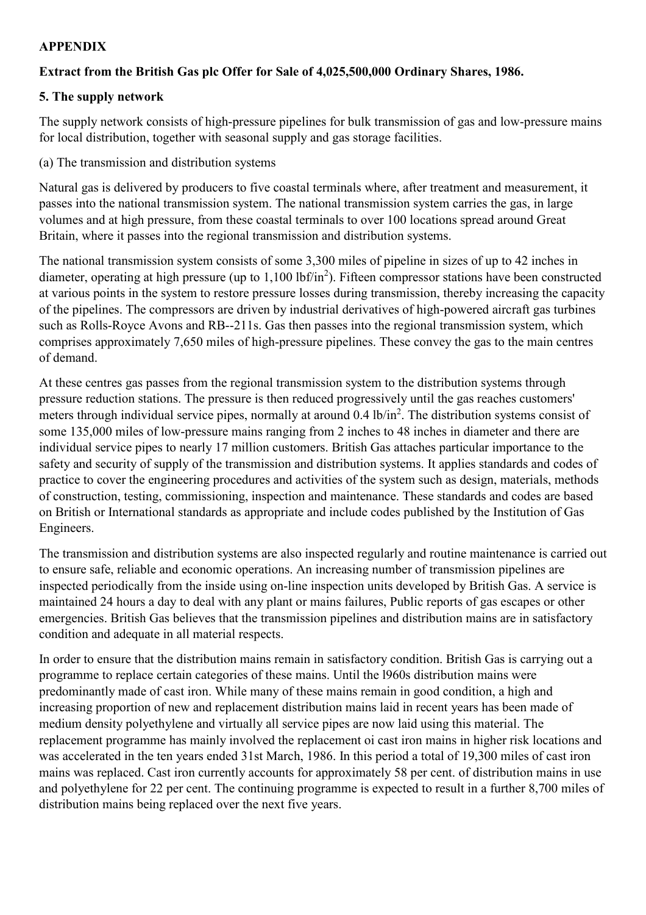### **APPENDIX**

# **Extract from the British Gas plc Offer for Sale of 4,025,500,000 Ordinary Shares, 1986.**

# **5. The supply network**

The supply network consists of high-pressure pipelines for bulk transmission of gas and low-pressure mains for local distribution, together with seasonal supply and gas storage facilities.

(a) The transmission and distribution systems

Natural gas is delivered by producers to five coastal terminals where, after treatment and measurement, it passes into the national transmission system. The national transmission system carries the gas, in large volumes and at high pressure, from these coastal terminals to over 100 locations spread around Great Britain, where it passes into the regional transmission and distribution systems.

The national transmission system consists of some 3,300 miles of pipeline in sizes of up to 42 inches in diameter, operating at high pressure (up to  $1,100$  lbf/in<sup>2</sup>). Fifteen compressor stations have been constructed at various points in the system to restore pressure losses during transmission, thereby increasing the capacity of the pipelines. The compressors are driven by industrial derivatives of high-powered aircraft gas turbines such as Rolls-Royce Avons and RB--211s. Gas then passes into the regional transmission system, which comprises approximately 7,650 miles of high-pressure pipelines. These convey the gas to the main centres of demand.

At these centres gas passes from the regional transmission system to the distribution systems through pressure reduction stations. The pressure is then reduced progressively until the gas reaches customers' meters through individual service pipes, normally at around 0.4 lb/in<sup>2</sup>. The distribution systems consist of some 135,000 miles of low-pressure mains ranging from 2 inches to 48 inches in diameter and there are individual service pipes to nearly 17 million customers. British Gas attaches particular importance to the safety and security of supply of the transmission and distribution systems. It applies standards and codes of practice to cover the engineering procedures and activities of the system such as design, materials, methods of construction, testing, commissioning, inspection and maintenance. These standards and codes are based on British or International standards as appropriate and include codes published by the Institution of Gas Engineers.

The transmission and distribution systems are also inspected regularly and routine maintenance is carried out to ensure safe, reliable and economic operations. An increasing number of transmission pipelines are inspected periodically from the inside using on-line inspection units developed by British Gas. A service is maintained 24 hours a day to deal with any plant or mains failures, Public reports of gas escapes or other emergencies. British Gas believes that the transmission pipelines and distribution mains are in satisfactory condition and adequate in all material respects.

In order to ensure that the distribution mains remain in satisfactory condition. British Gas is carrying out a programme to replace certain categories of these mains. Until the l960s distribution mains were predominantly made of cast iron. While many of these mains remain in good condition, a high and increasing proportion of new and replacement distribution mains laid in recent years has been made of medium density polyethylene and virtually all service pipes are now laid using this material. The replacement programme has mainly involved the replacement oi cast iron mains in higher risk locations and was accelerated in the ten years ended 31st March, 1986. In this period a total of 19,300 miles of cast iron mains was replaced. Cast iron currently accounts for approximately 58 per cent. of distribution mains in use and polyethylene for 22 per cent. The continuing programme is expected to result in a further 8,700 miles of distribution mains being replaced over the next five years.